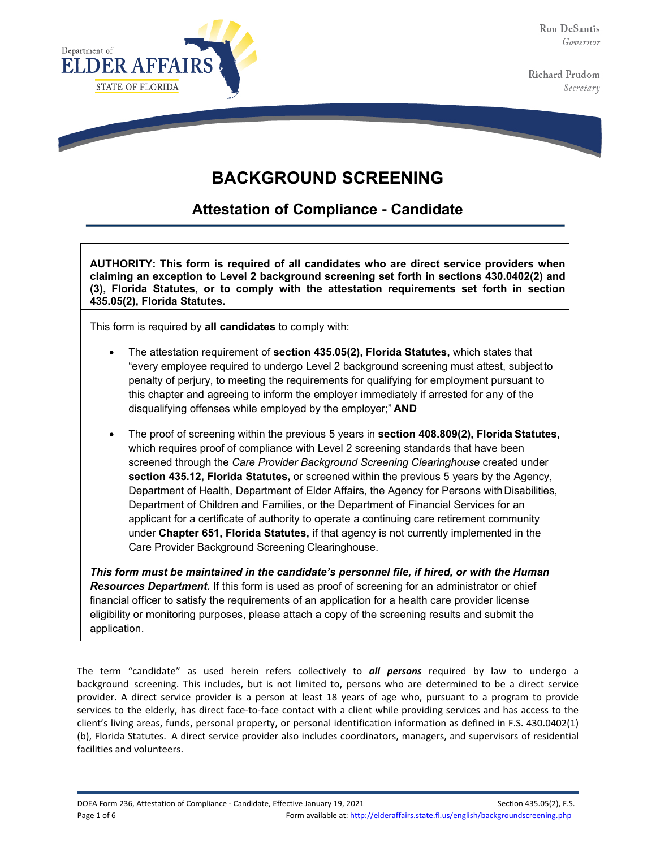Ron DeSantis Governor

Richard Prudom Secretary





**Attestation of Compliance - Candidate**

**AUTHORITY: This form is required of all candidates who are direct service providers when claiming an exception to Level 2 background screening set forth in sections 430.0402(2) and (3), Florida Statutes, or to comply with the attestation requirements set forth in section 435.05(2), Florida Statutes.**

This form is required by **all candidates** to comply with:

- The attestation requirement of **section 435.05(2), Florida Statutes,** which states that "every employee required to undergo Level 2 background screening must attest, subjectto penalty of perjury, to meeting the requirements for qualifying for employment pursuant to this chapter and agreeing to inform the employer immediately if arrested for any of the disqualifying offenses while employed by the employer;" **AND**
- The proof of screening within the previous 5 years in **section 408.809(2), Florida Statutes,** which requires proof of compliance with Level 2 screening standards that have been screened through the *Care Provider Background Screening Clearinghouse* created under **section 435.12, Florida Statutes,** or screened within the previous 5 years by the Agency, Department of Health, Department of Elder Affairs, the Agency for Persons with Disabilities, Department of Children and Families, or the Department of Financial Services for an applicant for a certificate of authority to operate a continuing care retirement community under **Chapter 651, Florida Statutes,** if that agency is not currently implemented in the Care Provider Background Screening Clearinghouse.

*This form must be maintained in the candidate's personnel file, if hired, or with the Human*  **Resources Department.** If this form is used as proof of screening for an administrator or chief financial officer to satisfy the requirements of an application for a health care provider license eligibility or monitoring purposes, please attach a copy of the screening results and submit the application.

The term "candidate" as used herein refers collectively to *all persons* required by law to undergo a background screening. This includes, but is not limited to, persons who are determined to be a direct service provider. A direct service provider is a person at least 18 years of age who, pursuant to a program to provide services to the elderly, has direct face-to-face contact with a client while providing services and has access to the client's living areas, funds, personal property, or personal identification information as defined in F.S. 430.0402(1) (b), Florida Statutes. A direct service provider also includes coordinators, managers, and supervisors of residential facilities and volunteers.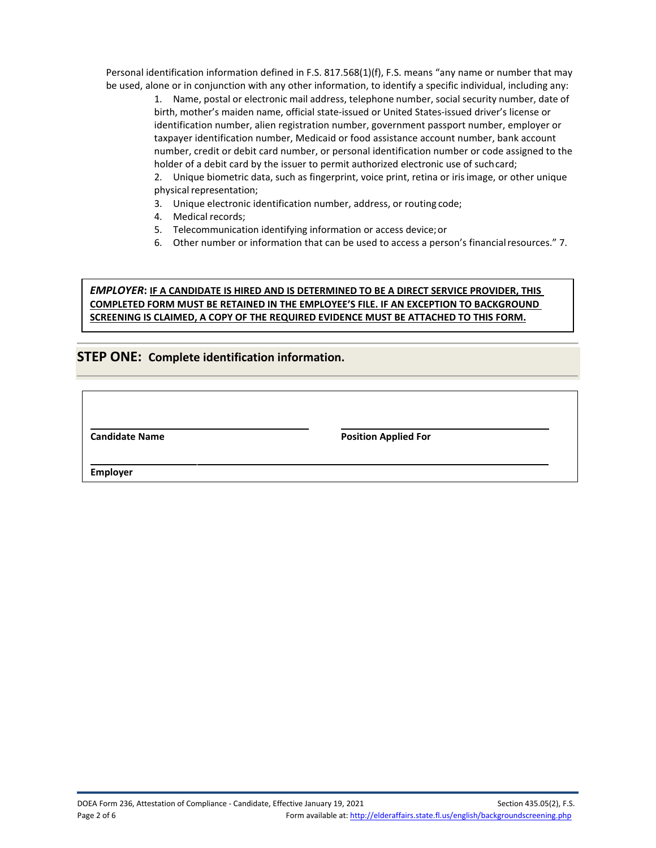Personal identification information defined in F.S. 817.568(1)(f), F.S. means "any name or number that may be used, alone or in conjunction with any other information, to identify a specific individual, including any:

1. Name, postal or electronic mail address, telephone number, social security number, date of birth, mother's maiden name, official state-issued or United States-issued driver's license or identification number, alien registration number, government passport number, employer or taxpayer identification number, Medicaid or food assistance account number, bank account number, credit or debit card number, or personal identification number or code assigned to the holder of a debit card by the issuer to permit authorized electronic use of suchcard;

2. Unique biometric data, such as fingerprint, voice print, retina or iris image, or other unique physical representation;

- 3. Unique electronic identification number, address, or routing code;
- 4. Medical records;
- 5. Telecommunication identifying information or access device;or
- 6. Other number or information that can be used to access a person's financial resources." 7.

### *EMPLOYER***: IF A CANDIDATE IS HIRED AND IS DETERMINED TO BE A DIRECT SERVICE PROVIDER, THIS COMPLETED FORM MUST BE RETAINED IN THE EMPLOYEE'S FILE. IF AN EXCEPTION TO BACKGROUND SCREENING IS CLAIMED, A COPY OF THE REQUIRED EVIDENCE MUST BE ATTACHED TO THIS FORM.**

# **STEP ONE: Complete identification information.**

**Candidate Name Position Applied For** 

**Employer**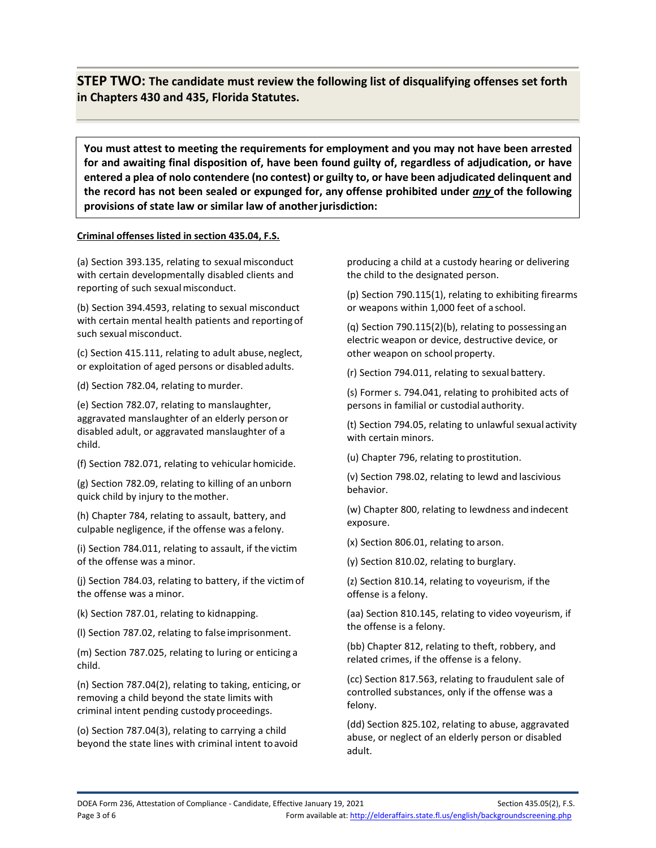**STEP TWO: The candidate must review the following list of disqualifying offenses set forth in Chapters 430 and 435, Florida Statutes.**

**You must attest to meeting the requirements for employment and you may not have been arrested for and awaiting final disposition of, have been found guilty of, regardless of adjudication, or have entered a plea of nolo contendere (no contest) or guilty to, or have been adjudicated delinquent and the record has not been sealed or expunged for, any offense prohibited under** *any* **of the following provisions of state law or similar law of anotherjurisdiction:**

### **Criminal offenses listed in section 435.04, F.S.**

(a) Section 393.135, relating to sexualmisconduct with certain developmentally disabled clients and reporting of such sexual misconduct.

(b) Section 394.4593, relating to sexual misconduct with certain mental health patients and reporting of such sexual misconduct.

(c) Section 415.111, relating to adult abuse, neglect, or exploitation of aged persons or disabledadults.

(d) Section 782.04, relating to murder.

(e) Section 782.07, relating to manslaughter, aggravated manslaughter of an elderly person or disabled adult, or aggravated manslaughter of a child.

(f) Section 782.071, relating to vehicular homicide.

(g) Section 782.09, relating to killing of an unborn quick child by injury to themother.

(h) Chapter 784, relating to assault, battery, and culpable negligence, if the offense was a felony.

(i) Section 784.011, relating to assault, if the victim of the offense was a minor.

(j) Section 784.03, relating to battery, if the victimof the offense was a minor.

(k) Section 787.01, relating to kidnapping.

(l) Section 787.02, relating to false imprisonment.

(m) Section 787.025, relating to luring or enticing a child.

(n) Section 787.04(2), relating to taking, enticing, or removing a child beyond the state limits with criminal intent pending custody proceedings.

(o) Section 787.04(3), relating to carrying a child beyond the state lines with criminal intent toavoid

producing a child at a custody hearing or delivering the child to the designated person.

(p) Section 790.115(1), relating to exhibiting firearms or weapons within 1,000 feet of a school.

(q) Section 790.115(2)(b), relating to possessing an electric weapon or device, destructive device, or other weapon on school property.

(r) Section 794.011, relating to sexual battery.

(s) Former s. 794.041, relating to prohibited acts of persons in familial or custodial authority.

(t) Section 794.05, relating to unlawful sexual activity with certain minors.

(u) Chapter 796, relating to prostitution.

(v) Section 798.02, relating to lewd and lascivious behavior.

(w) Chapter 800, relating to lewdness and indecent exposure.

(x) Section 806.01, relating to arson.

(y) Section 810.02, relating to burglary.

(z) Section 810.14, relating to voyeurism, if the offense is a felony.

(aa) Section 810.145, relating to video voyeurism, if the offense is a felony.

(bb) Chapter 812, relating to theft, robbery, and related crimes, if the offense is a felony.

(cc) Section 817.563, relating to fraudulent sale of controlled substances, only if the offense was a felony.

(dd) Section 825.102, relating to abuse, aggravated abuse, or neglect of an elderly person or disabled adult.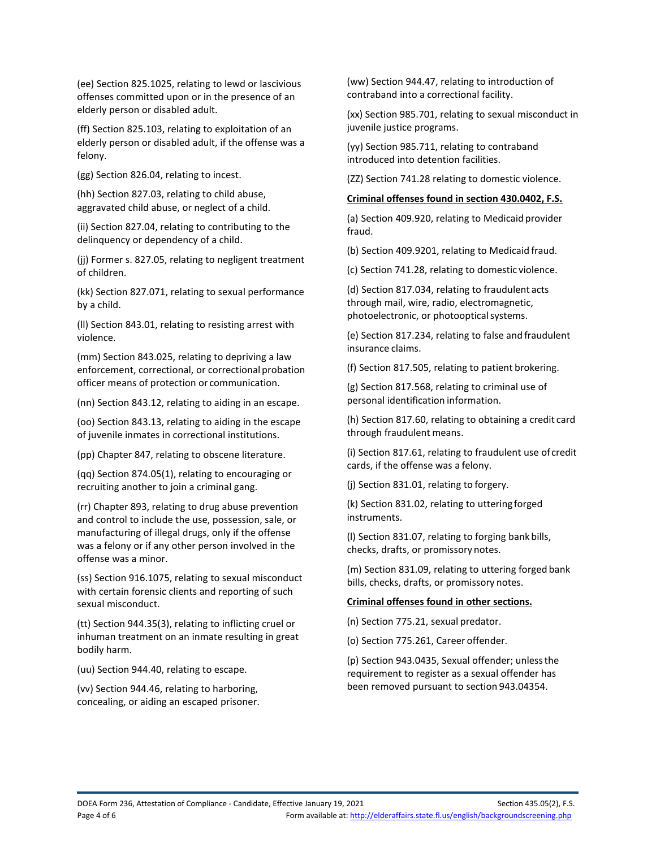(ee) Section 825.1025, relating to lewd or lascivious offenses committed upon or in the presence of an elderly person or disabled adult.

(ff) Section 825.103, relating to exploitation of an elderly person or disabled adult, if the offense was a felony.

(gg) Section 826.04, relating to incest.

(hh) Section 827.03, relating to child abuse, aggravated child abuse, or neglect of a child.

(ii) Section 827.04, relating to contributing to the delinquency or dependency of a child.

(jj) Former s. 827.05, relating to negligent treatment of children.

(kk) Section 827.071, relating to sexual performance by a child.

(ll) Section 843.01, relating to resisting arrest with violence.

(mm) Section 843.025, relating to depriving a law enforcement, correctional, or correctional probation officer means of protection or communication.

(nn) Section 843.12, relating to aiding in an escape.

(oo) Section 843.13, relating to aiding in the escape of juvenile inmates in correctional institutions.

(pp) Chapter 847, relating to obscene literature.

(qq) Section 874.05(1), relating to encouraging or recruiting another to join a criminal gang.

(rr) Chapter 893, relating to drug abuse prevention and control to include the use, possession, sale, or manufacturing of illegal drugs, only if the offense was a felony or if any other person involved in the offense was a minor.

(ss) Section 916.1075, relating to sexual misconduct with certain forensic clients and reporting of such sexual misconduct.

(tt) Section 944.35(3), relating to inflicting cruel or inhuman treatment on an inmate resulting in great bodily harm.

(uu) Section 944.40, relating to escape.

(vv) Section 944.46, relating to harboring, concealing, or aiding an escaped prisoner. (ww) Section 944.47, relating to introduction of contraband into a correctional facility.

(xx) Section 985.701, relating to sexual misconduct in juvenile justice programs.

(yy) Section 985.711, relating to contraband introduced into detention facilities.

(ZZ) Section 741.28 relating to domestic violence.

#### **Criminal offenses found in section 430.0402, F.S.**

(a) Section 409.920, relating to Medicaid provider fraud.

(b) Section 409.9201, relating to Medicaid fraud.

(c) Section 741.28, relating to domestic violence.

(d) Section 817.034, relating to fraudulent acts through mail, wire, radio, electromagnetic, photoelectronic, or photooptical systems.

(e) Section 817.234, relating to false and fraudulent insurance claims.

(f) Section 817.505, relating to patient brokering.

(g) Section 817.568, relating to criminal use of personal identification information.

(h) Section 817.60, relating to obtaining a credit card through fraudulent means.

(i) Section 817.61, relating to fraudulent use of credit cards, if the offense was a felony.

(j) Section 831.01, relating to forgery.

(k) Section 831.02, relating to uttering forged instruments.

(l) Section 831.07, relating to forging bank bills, checks, drafts, or promissory notes.

(m) Section 831.09, relating to uttering forged bank bills, checks, drafts, or promissory notes.

### **Criminal offenses found in other sections.**

(n) Section 775.21, sexual predator.

(o) Section 775.261, Career offender.

(p) Section 943.0435, Sexual offender; unlessthe requirement to register as a sexual offender has been removed pursuant to section 943.04354.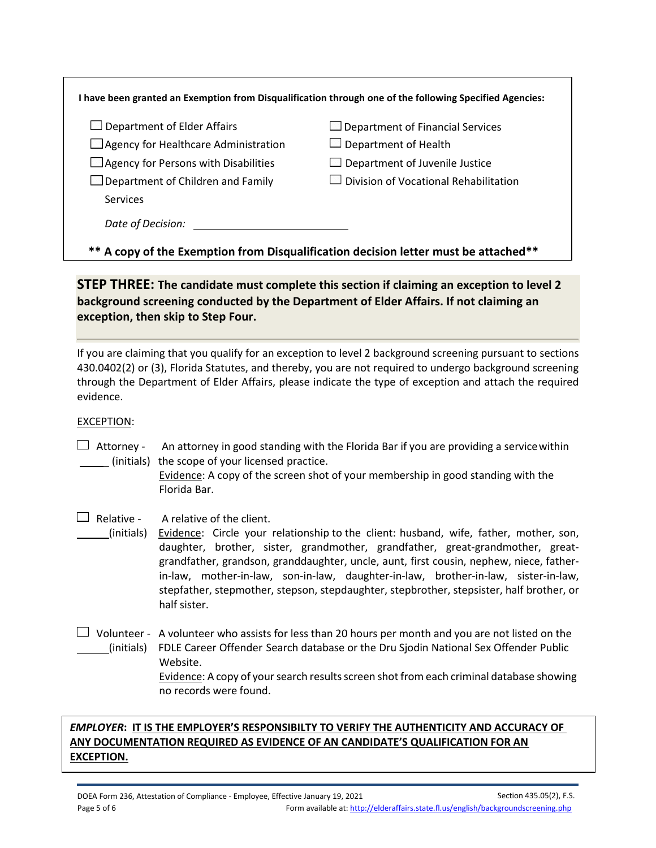| $\square$ Department of Elder Affairs       | $\Box$ Department of Financial Services      |
|---------------------------------------------|----------------------------------------------|
| Agency for Healthcare Administration        | $\Box$ Department of Health                  |
| $\Box$ Agency for Persons with Disabilities | $\Box$ Department of Juvenile Justice        |
| $\Box$ Department of Children and Family    | $\Box$ Division of Vocational Rehabilitation |
| Services                                    |                                              |

# **STEP THREE: The candidate must complete this section if claiming an exception to level 2 background screening conducted by the Department of Elder Affairs. If not claiming an exception, then skip to Step Four.**

If you are claiming that you qualify for an exception to level 2 background screening pursuant to sections 430.0402(2) or (3), Florida Statutes, and thereby, you are not required to undergo background screening through the Department of Elder Affairs, please indicate the type of exception and attach the required evidence.

### EXCEPTION:

 $\Box$  Attorney - An attorney in good standing with the Florida Bar if you are providing a service within \_ (initials) the scope of your licensed practice.

Evidence: A copy of the screen shot of your membership in good standing with the Florida Bar.

## $\Box$  Relative - A relative of the client.

(initials) Evidence: Circle your relationship to the client: husband, wife, father, mother, son, daughter, brother, sister, grandmother, grandfather, great-grandmother, greatgrandfather, grandson, granddaughter, uncle, aunt, first cousin, nephew, niece, fatherin-law, mother-in-law, son-in-law, daughter-in-law, brother-in-law, sister-in-law, stepfather, stepmother, stepson, stepdaughter, stepbrother, stepsister, half brother, or half sister.

 $\Box$  Volunteer - A volunteer who assists for less than 20 hours per month and you are not listed on the (initials) FDLE Career Offender Search database or the Dru Sjodin National Sex Offender Public Website. Evidence: A copy of your search results screen shot from each criminal database showing no records were found.

## *EMPLOYER***: IT IS THE EMPLOYER'S RESPONSIBILTY TO VERIFY THE AUTHENTICITY AND ACCURACY OF ANY DOCUMENTATION REQUIRED AS EVIDENCE OF AN CANDIDATE'S QUALIFICATION FOR AN EXCEPTION.**